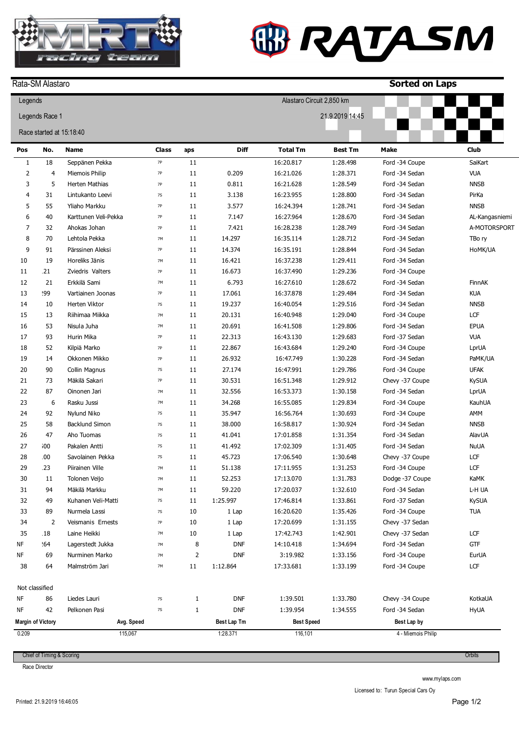

## **W RATASM**

|                | Rata-SM Alastaro         |                       |              |              |             |                           |                 | <b>Sorted on Laps</b> |                |
|----------------|--------------------------|-----------------------|--------------|--------------|-------------|---------------------------|-----------------|-----------------------|----------------|
| Legends        |                          |                       |              |              |             | Alastaro Circuit 2,850 km |                 |                       |                |
| Legends Race 1 |                          |                       |              |              |             |                           | 21.9.2019 14:45 |                       |                |
|                | Race started at 15:18:40 |                       |              |              |             |                           |                 |                       |                |
| Pos            | No.                      | <b>Name</b>           | <b>Class</b> | aps          | <b>Diff</b> | <b>Total Tm</b>           | <b>Best Tm</b>  | Make                  | <b>Club</b>    |
| $1\,$          | 18                       | Seppänen Pekka        | $7P$         | 11           |             | 16:20.817                 | 1:28.498        | Ford -34 Coupe        | SaiKart        |
| $\overline{2}$ | $\overline{4}$           | Miemois Philip        | 7P           | 11           | 0.209       | 16:21.026                 | 1:28.371        | Ford -34 Sedan        | <b>VUA</b>     |
| 3              | 5                        | Herten Mathias        | <b>7P</b>    | 11           | 0.811       | 16:21.628                 | 1:28.549        | Ford -34 Sedan        | <b>NNSB</b>    |
| 4              | 31                       | Lintukanto Leevi      | 7S           | 11           | 3.138       | 16:23.955                 | 1:28.800        | Ford -34 Sedan        | PirKa          |
| 5              | 55                       | Yliaho Markku         | <b>7P</b>    | 11           | 3.577       | 16:24.394                 | 1:28.741        | Ford -34 Sedan        | <b>NNSB</b>    |
| 6              | 40                       | Karttunen Veli-Pekka  | 7P           | 11           | 7.147       | 16:27.964                 | 1:28.670        | Ford -34 Sedan        | AL-Kangasniemi |
| 7              | 32                       | Ahokas Johan          | 7P           | 11           | 7.421       | 16:28.238                 | 1:28.749        | Ford -34 Sedan        | A-MOTORSPORT   |
| 8              | 70                       | Lehtola Pekka         | 7M           | 11           | 14.297      | 16:35.114                 | 1:28.712        | Ford -34 Sedan        | TBo ry         |
| 9              | 91                       | Pärssinen Aleksi      | <b>7P</b>    | 11           | 14.374      | 16:35.191                 | 1:28.844        | Ford -34 Sedan        | HoMK/UA        |
| 10             | 19                       | Horeliks Jänis        | 7M           | 11           | 16.421      | 16:37.238                 | 1:29.411        | Ford -34 Sedan        |                |
| 11             | .21                      | Zviedris Valters      | <b>7P</b>    | 11           | 16.673      | 16:37.490                 | 1:29.236        | Ford -34 Coupe        |                |
| 12             | 21                       | Erkkilä Sami          | 7M           | 11           | 6.793       | 16:27.610                 | 1:28.672        | Ford -34 Sedan        | FinnAK         |
| 13             | 99؛                      | Vartiainen Joonas     | <b>7P</b>    | 11           | 17.061      | 16:37.878                 | 1:29.484        | Ford -34 Sedan        | <b>KUA</b>     |
| 14             | 10                       | Herten Viktor         | 7S           | 11           | 19.237      | 16:40.054                 | 1:29.516        | Ford -34 Sedan        | <b>NNSB</b>    |
| 15             | 13                       | Riihimaa Miikka       | 7M           | 11           | 20.131      | 16:40.948                 | 1:29.040        | Ford -34 Coupe        | LCF            |
| 16             | 53                       | Nisula Juha           | 7M           | 11           | 20.691      | 16:41.508                 | 1:29.806        | Ford -34 Sedan        | EPUA           |
| 17             | 93                       | Hurin Mika            | <b>7P</b>    | 11           | 22.313      | 16:43.130                 | 1:29.683        | Ford -37 Sedan        | <b>VUA</b>     |
| 18             | 52                       | Kilpiä Marko          | <b>7P</b>    | 11           | 22.867      | 16:43.684                 | 1:29.240        | Ford -34 Coupe        | LprUA          |
| 19             | 14                       | Okkonen Mikko         | <b>7P</b>    | 11           | 26.932      | 16:47.749                 | 1:30.228        | Ford -34 Sedan        | PaMK/UA        |
| 20             | 90                       | Collin Magnus         | <b>7S</b>    | 11           | 27.174      | 16:47.991                 | 1:29.786        | Ford -34 Coupe        | <b>UFAK</b>    |
| 21             | 73                       | Mäkilä Sakari         | <b>7P</b>    | 11           | 30.531      | 16:51.348                 | 1:29.912        | Chevy -37 Coupe       | <b>KySUA</b>   |
| 22             | 87                       | Oinonen Jari          | 7M           | 11           | 32.556      | 16:53.373                 | 1:30.158        | Ford -34 Sedan        | LprUA          |
| 23             | 6                        | Rasku Jussi           | 7M           | 11           | 34.268      | 16:55.085                 | 1:29.834        | Ford -34 Coupe        | KauhUA         |
| 24             | 92                       | Nylund Niko           | 7S           | 11           | 35.947      | 16:56.764                 | 1:30.693        | Ford -34 Coupe        | AMM            |
| 25             | 58                       | <b>Backlund Simon</b> | $7S$         | 11           | 38.000      | 16:58.817                 | 1:30.924        | Ford -34 Sedan        | <b>NNSB</b>    |
| 26             | 47                       | Aho Tuomas            | 7S           | 11           | 41.041      | 17:01.858                 | 1:31.354        | Ford -34 Sedan        | <b>AlavUA</b>  |
| 27             | 500                      | Pakalen Antti         | 7S           | 11           | 41.492      | 17:02.309                 | 1:31.405        | Ford -34 Sedan        | <b>NuUA</b>    |
| 28             | .00                      | Savolainen Pekka      | 7S           | 11           | 45.723      | 17:06.540                 | 1:30.648        | Chevy -37 Coupe       | LCF            |
| 29             | .23                      | Piirainen Ville       | 7M           | 11           | 51.138      | 17:11.955                 | 1:31.253        | Ford -34 Coupe        | LCF            |
| 30             | 11                       | Tolonen Veijo         | 7M           | 11           | 52.253      | 17:13.070                 | 1:31.783        | Dodge -37 Coupe       | KaMK           |
| 31             | 94                       | Mäkilä Markku         | 7M           | 11           | 59.220      | 17:20.037                 | 1:32.610        | Ford -34 Sedan        | L-H UA         |
| 32             | 49                       | Kuhanen Veli-Matti    | 7S           | 11           | 1:25.997    | 17:46.814                 | 1:33.861        | Ford -37 Sedan        | <b>KySUA</b>   |
| 33             | 89                       | Nurmela Lassi         | 7S           | 10           | 1 Lap       | 16:20.620                 | 1:35.426        | Ford -34 Coupe        | <b>TUA</b>     |
| 34             | 2                        | Veismanis Ernests     | 7P           | 10           | 1 Lap       | 17:20.699                 | 1:31.155        | Chevy -37 Sedan       |                |
| 35             | 18                       | Laine Heikki          | 7M           | 10           | 1 Lap       | 17:42.743                 | 1:42.901        | Chevy -37 Sedan       | LCF            |
| NF             | .64                      | Lagerstedt Jukka      | 7M           | 8            | <b>DNF</b>  | 14:10.418                 | 1:34.694        | Ford -34 Sedan        | GTF            |
| ΝF             | 69                       | Nurminen Marko        | 7M           | 2            | <b>DNF</b>  | 3:19.982                  | 1:33.156        | Ford -34 Coupe        | EurUA          |
| 38             | 64                       | Malmström Jari        | 7M           | 11           | 1:12.864    | 17:33.681                 | 1:33.199        | Ford -34 Coupe        | LCF            |
|                | Not classified           |                       |              |              |             |                           |                 |                       |                |
| ΝF             | 86                       | Liedes Lauri          | 7S           | 1            | <b>DNF</b>  | 1:39.501                  | 1:33.780        | Chevy -34 Coupe       | KotkaUA        |
| ΝF             | 42                       | Pelkonen Pasi         | 7S           | $\mathbf{1}$ | <b>DNF</b>  | 1:39.954                  | 1:34.555        | Ford -34 Sedan        | <b>HyUA</b>    |
|                | <b>Margin of Victory</b> | Avg. Speed            |              |              | Best Lap Tm | <b>Best Speed</b>         |                 | Best Lap by           |                |
| 0.209          |                          | 115,067               |              |              | 1:28.371    | 116,101                   |                 | 4 - Miemois Philip    |                |

Chief of Timing & Scoring

Race Director

www.mylaps.com

Licensed to: Turun Special Cars Oy

**Orbits**